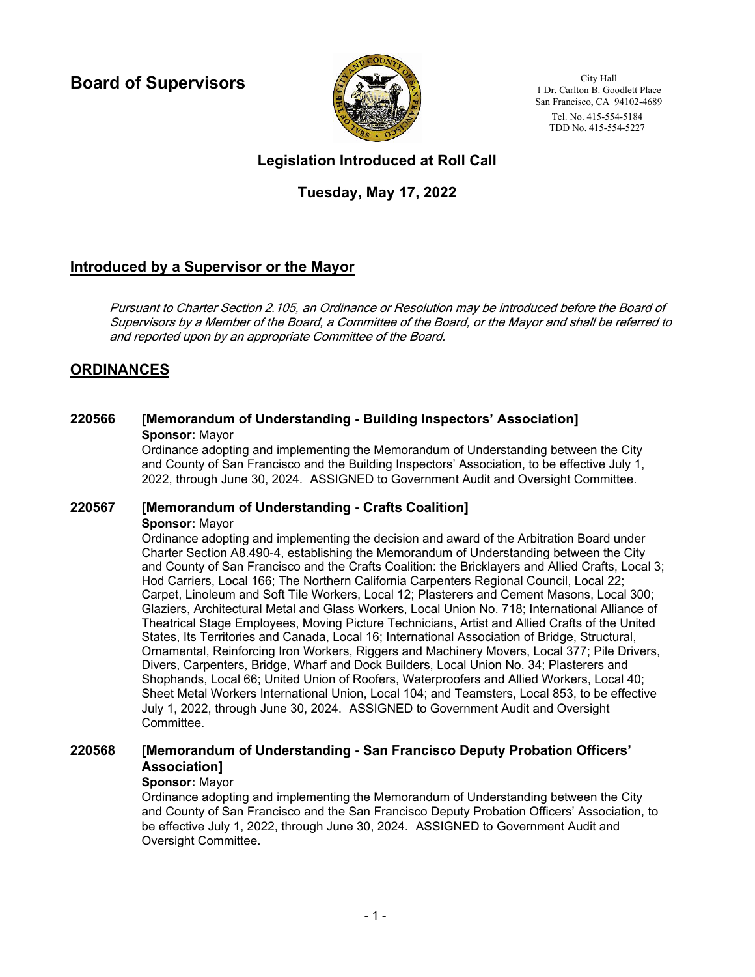**Board of Supervisors**



City Hall 1 Dr. Carlton B. Goodlett Place San Francisco, CA 94102-4689 Tel. No. 415-554-5184 TDD No. 415-554-5227

## **Legislation Introduced at Roll Call**

## **Tuesday, May 17, 2022**

## **Introduced by a Supervisor or the Mayor**

Pursuant to Charter Section 2.105, an Ordinance or Resolution may be introduced before the Board of Supervisors by a Member of the Board, a Committee of the Board, or the Mayor and shall be referred to and reported upon by an appropriate Committee of the Board.

## **ORDINANCES**

## **220566 [Memorandum of Understanding - Building Inspectors' Association] Sponsor:** Mayor

Ordinance adopting and implementing the Memorandum of Understanding between the City and County of San Francisco and the Building Inspectors' Association, to be effective July 1, 2022, through June 30, 2024. ASSIGNED to Government Audit and Oversight Committee.

### **220567 [Memorandum of Understanding - Crafts Coalition]**

**Sponsor:** Mayor

Ordinance adopting and implementing the decision and award of the Arbitration Board under Charter Section A8.490-4, establishing the Memorandum of Understanding between the City and County of San Francisco and the Crafts Coalition: the Bricklayers and Allied Crafts, Local 3; Hod Carriers, Local 166; The Northern California Carpenters Regional Council, Local 22; Carpet, Linoleum and Soft Tile Workers, Local 12; Plasterers and Cement Masons, Local 300; Glaziers, Architectural Metal and Glass Workers, Local Union No. 718; International Alliance of Theatrical Stage Employees, Moving Picture Technicians, Artist and Allied Crafts of the United States, Its Territories and Canada, Local 16; International Association of Bridge, Structural, Ornamental, Reinforcing Iron Workers, Riggers and Machinery Movers, Local 377; Pile Drivers, Divers, Carpenters, Bridge, Wharf and Dock Builders, Local Union No. 34; Plasterers and Shophands, Local 66; United Union of Roofers, Waterproofers and Allied Workers, Local 40; Sheet Metal Workers International Union, Local 104; and Teamsters, Local 853, to be effective July 1, 2022, through June 30, 2024. ASSIGNED to Government Audit and Oversight Committee.

#### **[Memorandum of Understanding - San Francisco Deputy Probation Officers' Association] 220568**

### **Sponsor:** Mayor

Ordinance adopting and implementing the Memorandum of Understanding between the City and County of San Francisco and the San Francisco Deputy Probation Officers' Association, to be effective July 1, 2022, through June 30, 2024. ASSIGNED to Government Audit and Oversight Committee.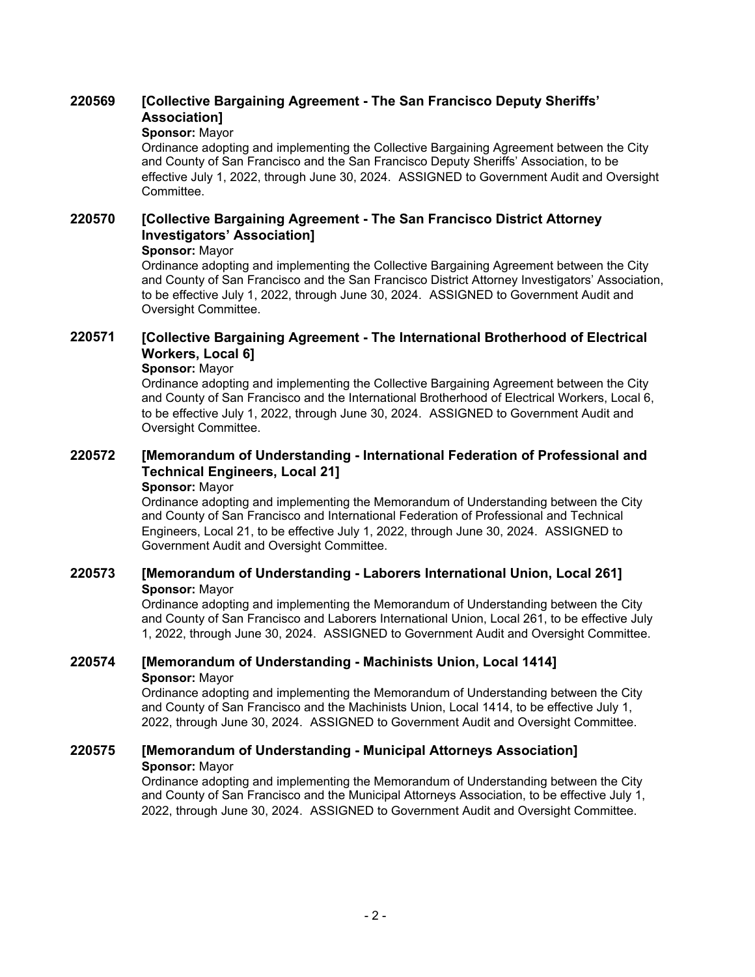### **[Collective Bargaining Agreement - The San Francisco Deputy Sheriffs' Association] 220569**

### **Sponsor:** Mayor

Ordinance adopting and implementing the Collective Bargaining Agreement between the City and County of San Francisco and the San Francisco Deputy Sheriffs' Association, to be effective July 1, 2022, through June 30, 2024. ASSIGNED to Government Audit and Oversight Committee.

#### **[Collective Bargaining Agreement - The San Francisco District Attorney Investigators' Association] 220570**

### **Sponsor:** Mayor

Ordinance adopting and implementing the Collective Bargaining Agreement between the City and County of San Francisco and the San Francisco District Attorney Investigators' Association, to be effective July 1, 2022, through June 30, 2024. ASSIGNED to Government Audit and Oversight Committee.

#### **[Collective Bargaining Agreement - The International Brotherhood of Electrical Workers, Local 6] 220571**

### **Sponsor:** Mayor

Ordinance adopting and implementing the Collective Bargaining Agreement between the City and County of San Francisco and the International Brotherhood of Electrical Workers, Local 6, to be effective July 1, 2022, through June 30, 2024. ASSIGNED to Government Audit and Oversight Committee.

### **[Memorandum of Understanding - International Federation of Professional and Technical Engineers, Local 21] 220572**

### **Sponsor:** Mayor

Ordinance adopting and implementing the Memorandum of Understanding between the City and County of San Francisco and International Federation of Professional and Technical Engineers, Local 21, to be effective July 1, 2022, through June 30, 2024. ASSIGNED to Government Audit and Oversight Committee.

## **220573 [Memorandum of Understanding - Laborers International Union, Local 261] Sponsor:** Mayor

Ordinance adopting and implementing the Memorandum of Understanding between the City and County of San Francisco and Laborers International Union, Local 261, to be effective July 1, 2022, through June 30, 2024. ASSIGNED to Government Audit and Oversight Committee.

## **220574 [Memorandum of Understanding - Machinists Union, Local 1414] Sponsor:** Mayor

Ordinance adopting and implementing the Memorandum of Understanding between the City and County of San Francisco and the Machinists Union, Local 1414, to be effective July 1, 2022, through June 30, 2024. ASSIGNED to Government Audit and Oversight Committee.

## **220575 [Memorandum of Understanding - Municipal Attorneys Association] Sponsor:** Mayor

Ordinance adopting and implementing the Memorandum of Understanding between the City and County of San Francisco and the Municipal Attorneys Association, to be effective July 1, 2022, through June 30, 2024. ASSIGNED to Government Audit and Oversight Committee.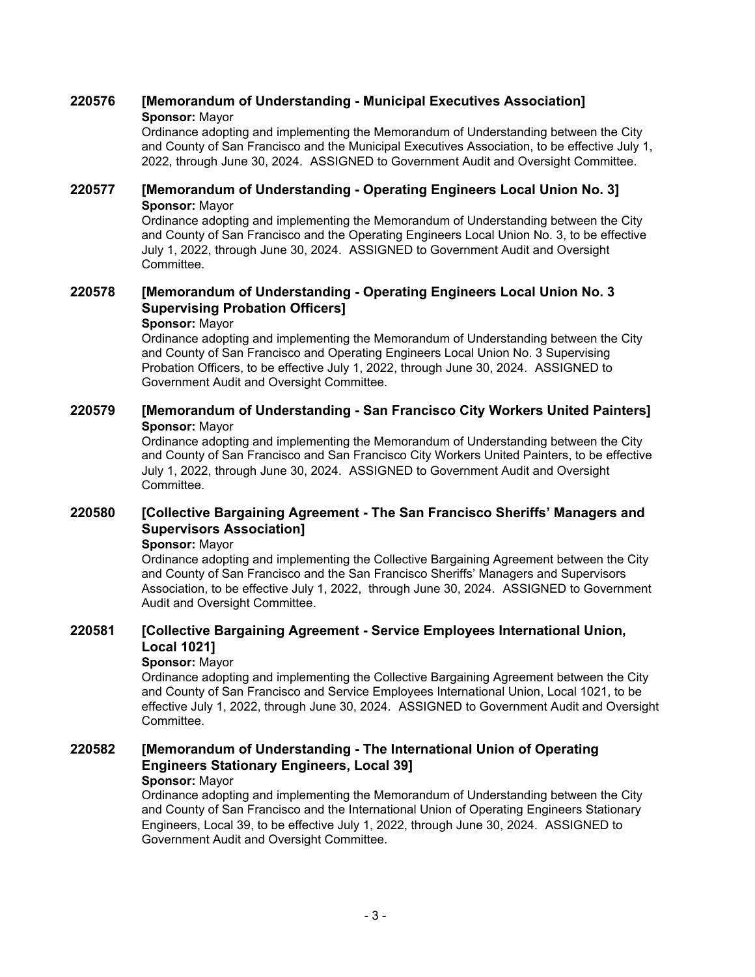## **220576 [Memorandum of Understanding - Municipal Executives Association] Sponsor:** Mayor

Ordinance adopting and implementing the Memorandum of Understanding between the City and County of San Francisco and the Municipal Executives Association, to be effective July 1, 2022, through June 30, 2024. ASSIGNED to Government Audit and Oversight Committee.

## **220577 [Memorandum of Understanding - Operating Engineers Local Union No. 3] Sponsor:** Mayor

Ordinance adopting and implementing the Memorandum of Understanding between the City and County of San Francisco and the Operating Engineers Local Union No. 3, to be effective July 1, 2022, through June 30, 2024. ASSIGNED to Government Audit and Oversight Committee.

### **[Memorandum of Understanding - Operating Engineers Local Union No. 3 Supervising Probation Officers] 220578**

### **Sponsor:** Mayor

Ordinance adopting and implementing the Memorandum of Understanding between the City and County of San Francisco and Operating Engineers Local Union No. 3 Supervising Probation Officers, to be effective July 1, 2022, through June 30, 2024. ASSIGNED to Government Audit and Oversight Committee.

## **220579 [Memorandum of Understanding - San Francisco City Workers United Painters] Sponsor:** Mayor

Ordinance adopting and implementing the Memorandum of Understanding between the City and County of San Francisco and San Francisco City Workers United Painters, to be effective July 1, 2022, through June 30, 2024. ASSIGNED to Government Audit and Oversight Committee.

#### **[Collective Bargaining Agreement - The San Francisco Sheriffs' Managers and Supervisors Association] 220580**

**Sponsor:** Mayor

Ordinance adopting and implementing the Collective Bargaining Agreement between the City and County of San Francisco and the San Francisco Sheriffs' Managers and Supervisors Association, to be effective July 1, 2022, through June 30, 2024. ASSIGNED to Government Audit and Oversight Committee.

### **[Collective Bargaining Agreement - Service Employees International Union, Local 1021] 220581**

## **Sponsor:** Mayor

Ordinance adopting and implementing the Collective Bargaining Agreement between the City and County of San Francisco and Service Employees International Union, Local 1021, to be effective July 1, 2022, through June 30, 2024. ASSIGNED to Government Audit and Oversight Committee.

### **[Memorandum of Understanding - The International Union of Operating Engineers Stationary Engineers, Local 39] 220582**

### **Sponsor:** Mayor

Ordinance adopting and implementing the Memorandum of Understanding between the City and County of San Francisco and the International Union of Operating Engineers Stationary Engineers, Local 39, to be effective July 1, 2022, through June 30, 2024. ASSIGNED to Government Audit and Oversight Committee.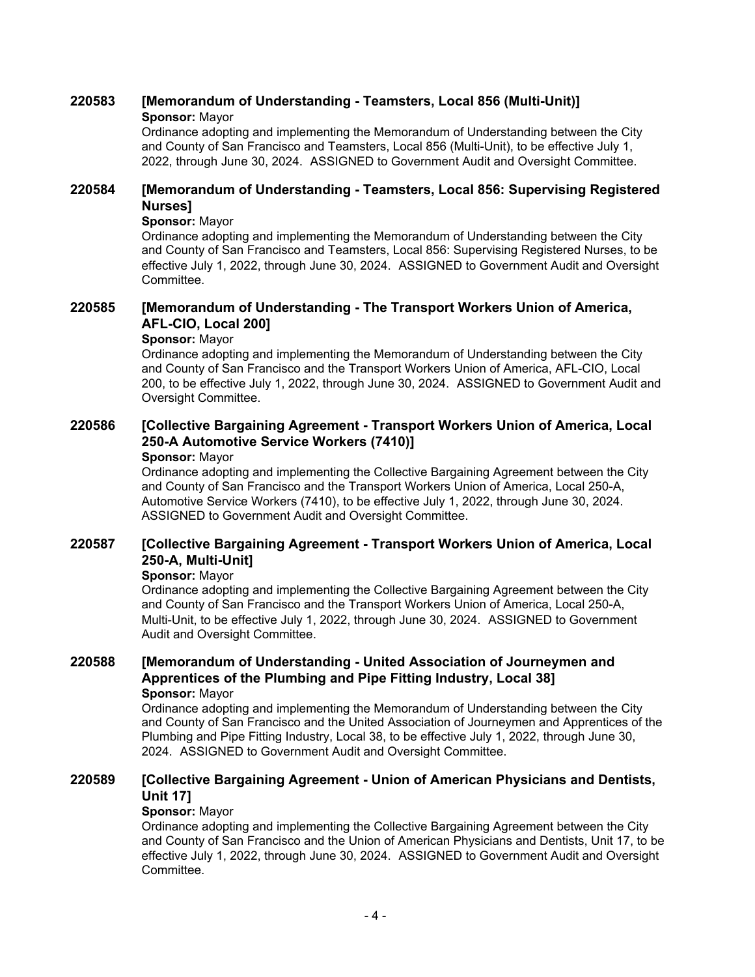## **220583 [Memorandum of Understanding - Teamsters, Local 856 (Multi-Unit)] Sponsor:** Mayor

Ordinance adopting and implementing the Memorandum of Understanding between the City and County of San Francisco and Teamsters, Local 856 (Multi-Unit), to be effective July 1, 2022, through June 30, 2024. ASSIGNED to Government Audit and Oversight Committee.

#### **[Memorandum of Understanding - Teamsters, Local 856: Supervising Registered Nurses] 220584**

### **Sponsor:** Mayor

Ordinance adopting and implementing the Memorandum of Understanding between the City and County of San Francisco and Teamsters, Local 856: Supervising Registered Nurses, to be effective July 1, 2022, through June 30, 2024. ASSIGNED to Government Audit and Oversight Committee.

#### **[Memorandum of Understanding - The Transport Workers Union of America, AFL-CIO, Local 200] 220585**

### **Sponsor:** Mayor

Ordinance adopting and implementing the Memorandum of Understanding between the City and County of San Francisco and the Transport Workers Union of America, AFL-CIO, Local 200, to be effective July 1, 2022, through June 30, 2024. ASSIGNED to Government Audit and Oversight Committee.

#### **[Collective Bargaining Agreement - Transport Workers Union of America, Local 250-A Automotive Service Workers (7410)] 220586**

### **Sponsor:** Mayor

Ordinance adopting and implementing the Collective Bargaining Agreement between the City and County of San Francisco and the Transport Workers Union of America, Local 250-A, Automotive Service Workers (7410), to be effective July 1, 2022, through June 30, 2024. ASSIGNED to Government Audit and Oversight Committee.

#### **[Collective Bargaining Agreement - Transport Workers Union of America, Local 250-A, Multi-Unit] 220587**

### **Sponsor:** Mayor

Ordinance adopting and implementing the Collective Bargaining Agreement between the City and County of San Francisco and the Transport Workers Union of America, Local 250-A, Multi-Unit, to be effective July 1, 2022, through June 30, 2024. ASSIGNED to Government Audit and Oversight Committee.

### **[Memorandum of Understanding - United Association of Journeymen and Apprentices of the Plumbing and Pipe Fitting Industry, Local 38] 220588 Sponsor:** Mayor

Ordinance adopting and implementing the Memorandum of Understanding between the City and County of San Francisco and the United Association of Journeymen and Apprentices of the Plumbing and Pipe Fitting Industry, Local 38, to be effective July 1, 2022, through June 30, 2024. ASSIGNED to Government Audit and Oversight Committee.

#### **[Collective Bargaining Agreement - Union of American Physicians and Dentists, Unit 17] 220589**

### **Sponsor:** Mayor

Ordinance adopting and implementing the Collective Bargaining Agreement between the City and County of San Francisco and the Union of American Physicians and Dentists, Unit 17, to be effective July 1, 2022, through June 30, 2024. ASSIGNED to Government Audit and Oversight Committee.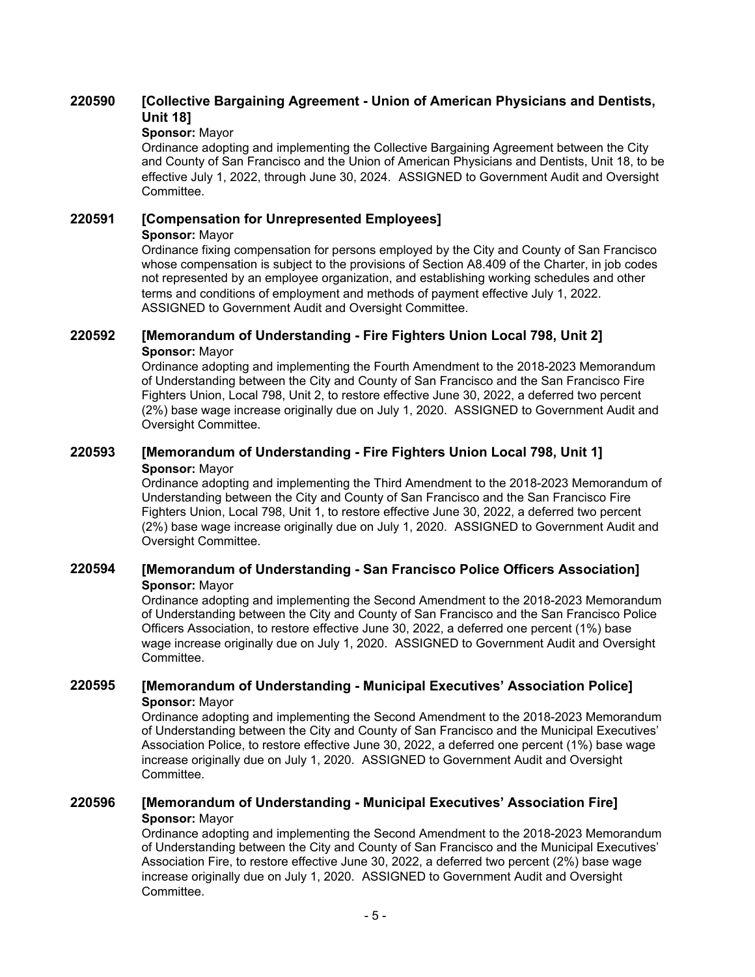#### **[Collective Bargaining Agreement - Union of American Physicians and Dentists, Unit 18] 220590**

## **Sponsor:** Mayor

Ordinance adopting and implementing the Collective Bargaining Agreement between the City and County of San Francisco and the Union of American Physicians and Dentists, Unit 18, to be effective July 1, 2022, through June 30, 2024. ASSIGNED to Government Audit and Oversight Committee.

## **220591 [Compensation for Unrepresented Employees]**

**Sponsor:** Mayor

Ordinance fixing compensation for persons employed by the City and County of San Francisco whose compensation is subject to the provisions of Section A8.409 of the Charter, in job codes not represented by an employee organization, and establishing working schedules and other terms and conditions of employment and methods of payment effective July 1, 2022. ASSIGNED to Government Audit and Oversight Committee.

## **220592 [Memorandum of Understanding - Fire Fighters Union Local 798, Unit 2] Sponsor:** Mayor

Ordinance adopting and implementing the Fourth Amendment to the 2018-2023 Memorandum of Understanding between the City and County of San Francisco and the San Francisco Fire Fighters Union, Local 798, Unit 2, to restore effective June 30, 2022, a deferred two percent (2%) base wage increase originally due on July 1, 2020. ASSIGNED to Government Audit and Oversight Committee.

## **220593 [Memorandum of Understanding - Fire Fighters Union Local 798, Unit 1] Sponsor:** Mayor

Ordinance adopting and implementing the Third Amendment to the 2018-2023 Memorandum of Understanding between the City and County of San Francisco and the San Francisco Fire Fighters Union, Local 798, Unit 1, to restore effective June 30, 2022, a deferred two percent (2%) base wage increase originally due on July 1, 2020. ASSIGNED to Government Audit and Oversight Committee.

## **220594 [Memorandum of Understanding - San Francisco Police Officers Association] Sponsor:** Mayor

Ordinance adopting and implementing the Second Amendment to the 2018-2023 Memorandum of Understanding between the City and County of San Francisco and the San Francisco Police Officers Association, to restore effective June 30, 2022, a deferred one percent (1%) base wage increase originally due on July 1, 2020. ASSIGNED to Government Audit and Oversight Committee.

## **220595 [Memorandum of Understanding - Municipal Executives' Association Police] Sponsor:** Mayor

Ordinance adopting and implementing the Second Amendment to the 2018-2023 Memorandum of Understanding between the City and County of San Francisco and the Municipal Executives' Association Police, to restore effective June 30, 2022, a deferred one percent (1%) base wage increase originally due on July 1, 2020. ASSIGNED to Government Audit and Oversight Committee.

## **220596 [Memorandum of Understanding - Municipal Executives' Association Fire] Sponsor:** Mayor

Ordinance adopting and implementing the Second Amendment to the 2018-2023 Memorandum of Understanding between the City and County of San Francisco and the Municipal Executives' Association Fire, to restore effective June 30, 2022, a deferred two percent (2%) base wage increase originally due on July 1, 2020. ASSIGNED to Government Audit and Oversight Committee.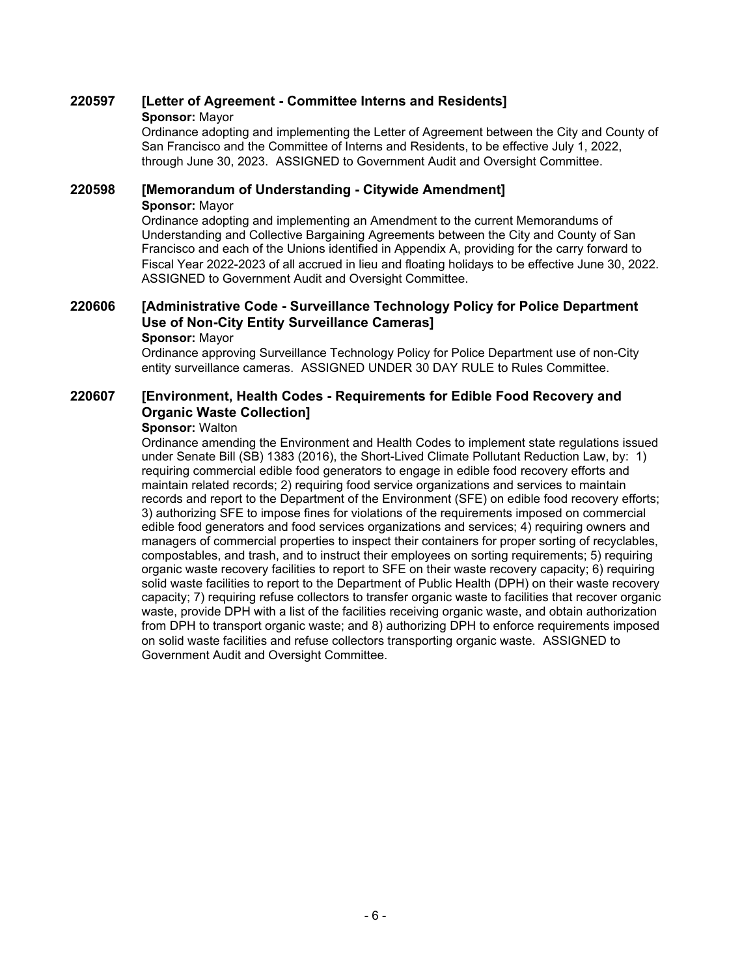# **220597 [Letter of Agreement - Committee Interns and Residents]**

### **Sponsor:** Mayor

Ordinance adopting and implementing the Letter of Agreement between the City and County of San Francisco and the Committee of Interns and Residents, to be effective July 1, 2022, through June 30, 2023. ASSIGNED to Government Audit and Oversight Committee.

## **220598 [Memorandum of Understanding - Citywide Amendment] Sponsor:** Mayor

Ordinance adopting and implementing an Amendment to the current Memorandums of Understanding and Collective Bargaining Agreements between the City and County of San Francisco and each of the Unions identified in Appendix A, providing for the carry forward to Fiscal Year 2022-2023 of all accrued in lieu and floating holidays to be effective June 30, 2022. ASSIGNED to Government Audit and Oversight Committee.

#### **[Administrative Code - Surveillance Technology Policy for Police Department Use of Non-City Entity Surveillance Cameras] 220606 Sponsor:** Mayor

Ordinance approving Surveillance Technology Policy for Police Department use of non-City entity surveillance cameras. ASSIGNED UNDER 30 DAY RULE to Rules Committee.

#### **[Environment, Health Codes - Requirements for Edible Food Recovery and Organic Waste Collection] 220607**

### **Sponsor:** Walton

Ordinance amending the Environment and Health Codes to implement state regulations issued under Senate Bill (SB) 1383 (2016), the Short-Lived Climate Pollutant Reduction Law, by: 1) requiring commercial edible food generators to engage in edible food recovery efforts and maintain related records; 2) requiring food service organizations and services to maintain records and report to the Department of the Environment (SFE) on edible food recovery efforts; 3) authorizing SFE to impose fines for violations of the requirements imposed on commercial edible food generators and food services organizations and services; 4) requiring owners and managers of commercial properties to inspect their containers for proper sorting of recyclables, compostables, and trash, and to instruct their employees on sorting requirements; 5) requiring organic waste recovery facilities to report to SFE on their waste recovery capacity; 6) requiring solid waste facilities to report to the Department of Public Health (DPH) on their waste recovery capacity; 7) requiring refuse collectors to transfer organic waste to facilities that recover organic waste, provide DPH with a list of the facilities receiving organic waste, and obtain authorization from DPH to transport organic waste; and 8) authorizing DPH to enforce requirements imposed on solid waste facilities and refuse collectors transporting organic waste. ASSIGNED to Government Audit and Oversight Committee.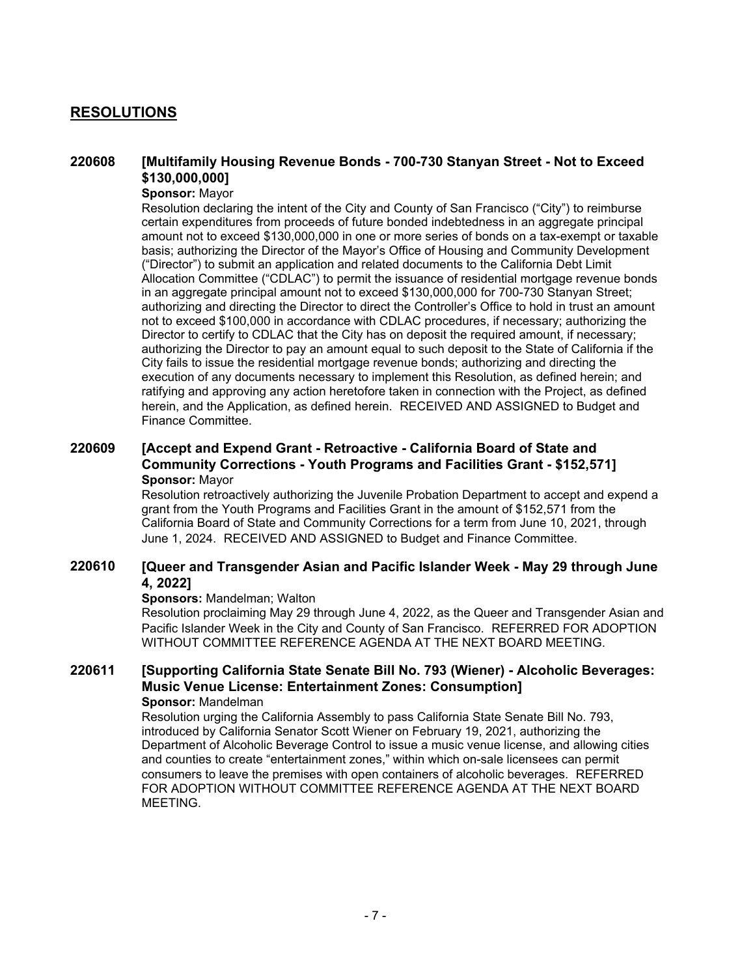## **RESOLUTIONS**

#### **[Multifamily Housing Revenue Bonds - 700-730 Stanyan Street - Not to Exceed \$130,000,000] 220608**

### **Sponsor:** Mayor

Resolution declaring the intent of the City and County of San Francisco ("City") to reimburse certain expenditures from proceeds of future bonded indebtedness in an aggregate principal amount not to exceed \$130,000,000 in one or more series of bonds on a tax-exempt or taxable basis; authorizing the Director of the Mayor's Office of Housing and Community Development ("Director") to submit an application and related documents to the California Debt Limit Allocation Committee ("CDLAC") to permit the issuance of residential mortgage revenue bonds in an aggregate principal amount not to exceed \$130,000,000 for 700-730 Stanyan Street; authorizing and directing the Director to direct the Controller's Office to hold in trust an amount not to exceed \$100,000 in accordance with CDLAC procedures, if necessary; authorizing the Director to certify to CDLAC that the City has on deposit the required amount, if necessary; authorizing the Director to pay an amount equal to such deposit to the State of California if the City fails to issue the residential mortgage revenue bonds; authorizing and directing the execution of any documents necessary to implement this Resolution, as defined herein; and ratifying and approving any action heretofore taken in connection with the Project, as defined herein, and the Application, as defined herein. RECEIVED AND ASSIGNED to Budget and Finance Committee.

### **[Accept and Expend Grant - Retroactive - California Board of State and Community Corrections - Youth Programs and Facilities Grant - \$152,571] 220609 Sponsor:** Mayor

Resolution retroactively authorizing the Juvenile Probation Department to accept and expend a grant from the Youth Programs and Facilities Grant in the amount of \$152,571 from the California Board of State and Community Corrections for a term from June 10, 2021, through June 1, 2024. RECEIVED AND ASSIGNED to Budget and Finance Committee.

#### **[Queer and Transgender Asian and Pacific Islander Week - May 29 through June 4, 2022] 220610**

### **Sponsors:** Mandelman; Walton

Resolution proclaiming May 29 through June 4, 2022, as the Queer and Transgender Asian and Pacific Islander Week in the City and County of San Francisco. REFERRED FOR ADOPTION WITHOUT COMMITTEE REFERENCE AGENDA AT THE NEXT BOARD MEETING.

### **[Supporting California State Senate Bill No. 793 (Wiener) - Alcoholic Beverages: Music Venue License: Entertainment Zones: Consumption] 220611**

## **Sponsor:** Mandelman

Resolution urging the California Assembly to pass California State Senate Bill No. 793, introduced by California Senator Scott Wiener on February 19, 2021, authorizing the Department of Alcoholic Beverage Control to issue a music venue license, and allowing cities and counties to create "entertainment zones," within which on-sale licensees can permit consumers to leave the premises with open containers of alcoholic beverages. REFERRED FOR ADOPTION WITHOUT COMMITTEE REFERENCE AGENDA AT THE NEXT BOARD MEETING.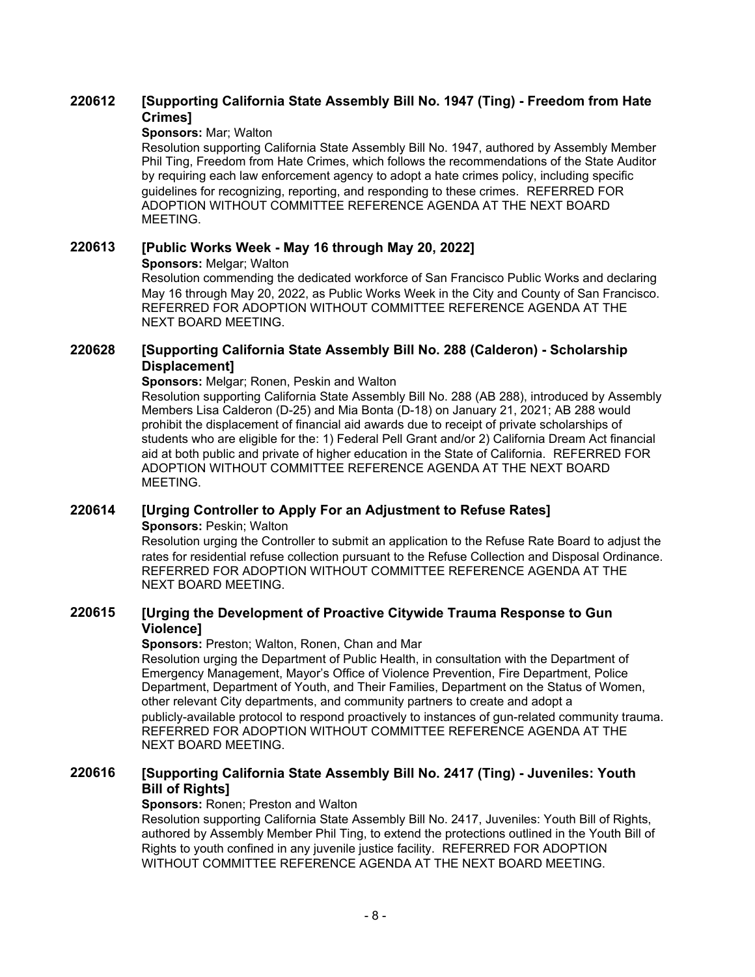#### **[Supporting California State Assembly Bill No. 1947 (Ting) - Freedom from Hate Crimes] 220612**

### **Sponsors:** Mar; Walton

Resolution supporting California State Assembly Bill No. 1947, authored by Assembly Member Phil Ting, Freedom from Hate Crimes, which follows the recommendations of the State Auditor by requiring each law enforcement agency to adopt a hate crimes policy, including specific guidelines for recognizing, reporting, and responding to these crimes. REFERRED FOR ADOPTION WITHOUT COMMITTEE REFERENCE AGENDA AT THE NEXT BOARD MEETING.

### **220613 [Public Works Week - May 16 through May 20, 2022] Sponsors:** Melgar; Walton

Resolution commending the dedicated workforce of San Francisco Public Works and declaring May 16 through May 20, 2022, as Public Works Week in the City and County of San Francisco. REFERRED FOR ADOPTION WITHOUT COMMITTEE REFERENCE AGENDA AT THE NEXT BOARD MEETING.

#### **[Supporting California State Assembly Bill No. 288 (Calderon) - Scholarship Displacement] 220628**

**Sponsors:** Melgar; Ronen, Peskin and Walton

Resolution supporting California State Assembly Bill No. 288 (AB 288), introduced by Assembly Members Lisa Calderon (D-25) and Mia Bonta (D-18) on January 21, 2021; AB 288 would prohibit the displacement of financial aid awards due to receipt of private scholarships of students who are eligible for the: 1) Federal Pell Grant and/or 2) California Dream Act financial aid at both public and private of higher education in the State of California. REFERRED FOR ADOPTION WITHOUT COMMITTEE REFERENCE AGENDA AT THE NEXT BOARD MEETING.

## **220614 [Urging Controller to Apply For an Adjustment to Refuse Rates] Sponsors: Peskin; Walton**

Resolution urging the Controller to submit an application to the Refuse Rate Board to adjust the rates for residential refuse collection pursuant to the Refuse Collection and Disposal Ordinance. REFERRED FOR ADOPTION WITHOUT COMMITTEE REFERENCE AGENDA AT THE NEXT BOARD MEETING.

#### **[Urging the Development of Proactive Citywide Trauma Response to Gun Violence] 220615**

### **Sponsors:** Preston; Walton, Ronen, Chan and Mar

Resolution urging the Department of Public Health, in consultation with the Department of Emergency Management, Mayor's Office of Violence Prevention, Fire Department, Police Department, Department of Youth, and Their Families, Department on the Status of Women, other relevant City departments, and community partners to create and adopt a publicly-available protocol to respond proactively to instances of gun-related community trauma. REFERRED FOR ADOPTION WITHOUT COMMITTEE REFERENCE AGENDA AT THE NEXT BOARD MEETING.

#### **[Supporting California State Assembly Bill No. 2417 (Ting) - Juveniles: Youth Bill of Rights] 220616**

### **Sponsors: Ronen: Preston and Walton**

Resolution supporting California State Assembly Bill No. 2417, Juveniles: Youth Bill of Rights, authored by Assembly Member Phil Ting, to extend the protections outlined in the Youth Bill of Rights to youth confined in any juvenile justice facility. REFERRED FOR ADOPTION WITHOUT COMMITTEE REFERENCE AGENDA AT THE NEXT BOARD MEETING.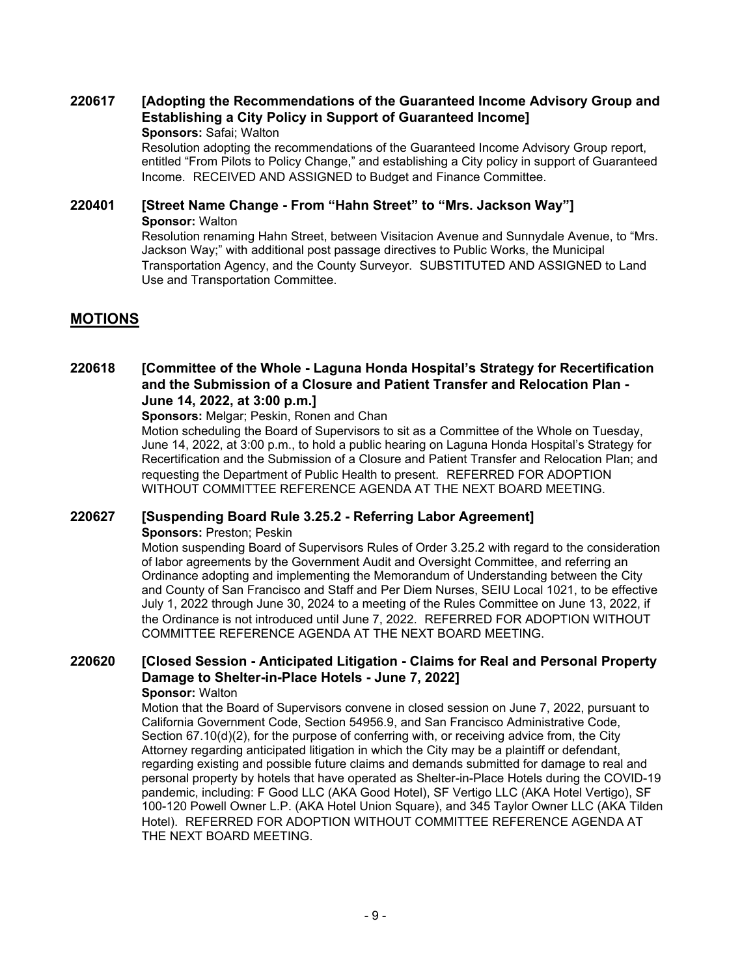### **[Adopting the Recommendations of the Guaranteed Income Advisory Group and Establishing a City Policy in Support of Guaranteed Income] 220617**

**Sponsors:** Safai; Walton

Resolution adopting the recommendations of the Guaranteed Income Advisory Group report, entitled "From Pilots to Policy Change," and establishing a City policy in support of Guaranteed Income. RECEIVED AND ASSIGNED to Budget and Finance Committee.

## **220401 [Street Name Change - From "Hahn Street" to "Mrs. Jackson Way"] Sponsor:** Walton

Resolution renaming Hahn Street, between Visitacion Avenue and Sunnydale Avenue, to "Mrs. Jackson Way;" with additional post passage directives to Public Works, the Municipal Transportation Agency, and the County Surveyor. SUBSTITUTED AND ASSIGNED to Land Use and Transportation Committee.

## **MOTIONS**

### **[Committee of the Whole - Laguna Honda Hospital's Strategy for Recertification and the Submission of a Closure and Patient Transfer and Relocation Plan - June 14, 2022, at 3:00 p.m.] 220618**

**Sponsors:** Melgar; Peskin, Ronen and Chan

Motion scheduling the Board of Supervisors to sit as a Committee of the Whole on Tuesday, June 14, 2022, at 3:00 p.m., to hold a public hearing on Laguna Honda Hospital's Strategy for Recertification and the Submission of a Closure and Patient Transfer and Relocation Plan; and requesting the Department of Public Health to present. REFERRED FOR ADOPTION WITHOUT COMMITTEE REFERENCE AGENDA AT THE NEXT BOARD MEETING.

## **220627 [Suspending Board Rule 3.25.2 - Referring Labor Agreement]**

**Sponsors:** Preston; Peskin

Motion suspending Board of Supervisors Rules of Order 3.25.2 with regard to the consideration of labor agreements by the Government Audit and Oversight Committee, and referring an Ordinance adopting and implementing the Memorandum of Understanding between the City and County of San Francisco and Staff and Per Diem Nurses, SEIU Local 1021, to be effective July 1, 2022 through June 30, 2024 to a meeting of the Rules Committee on June 13, 2022, if the Ordinance is not introduced until June 7, 2022. REFERRED FOR ADOPTION WITHOUT COMMITTEE REFERENCE AGENDA AT THE NEXT BOARD MEETING.

#### **[Closed Session - Anticipated Litigation - Claims for Real and Personal Property Damage to Shelter-in-Place Hotels - June 7, 2022] 220620 Sponsor:** Walton

Motion that the Board of Supervisors convene in closed session on June 7, 2022, pursuant to California Government Code, Section 54956.9, and San Francisco Administrative Code, Section 67.10(d)(2), for the purpose of conferring with, or receiving advice from, the City Attorney regarding anticipated litigation in which the City may be a plaintiff or defendant, regarding existing and possible future claims and demands submitted for damage to real and personal property by hotels that have operated as Shelter-in-Place Hotels during the COVID-19 pandemic, including: F Good LLC (AKA Good Hotel), SF Vertigo LLC (AKA Hotel Vertigo), SF 100-120 Powell Owner L.P. (AKA Hotel Union Square), and 345 Taylor Owner LLC (AKA Tilden Hotel). REFERRED FOR ADOPTION WITHOUT COMMITTEE REFERENCE AGENDA AT THE NEXT BOARD MEETING.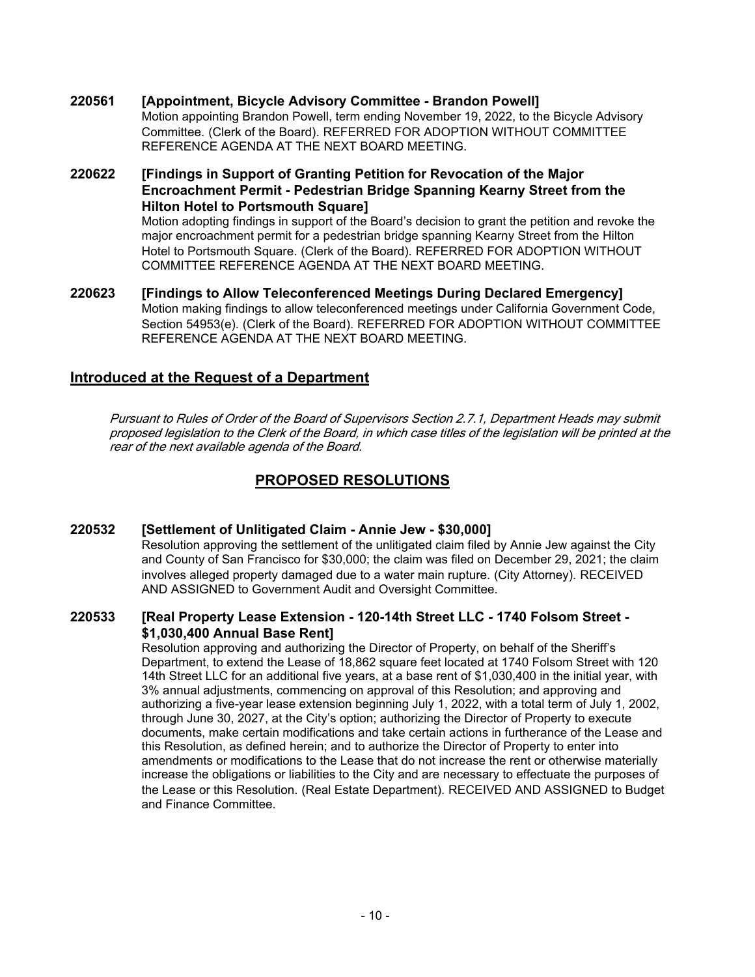- **220561 [Appointment, Bicycle Advisory Committee Brandon Powell]** Motion appointing Brandon Powell, term ending November 19, 2022, to the Bicycle Advisory Committee. (Clerk of the Board). REFERRED FOR ADOPTION WITHOUT COMMITTEE REFERENCE AGENDA AT THE NEXT BOARD MEETING.
- **[Findings in Support of Granting Petition for Revocation of the Major Encroachment Permit - Pedestrian Bridge Spanning Kearny Street from the Hilton Hotel to Portsmouth Square] 220622** Motion adopting findings in support of the Board's decision to grant the petition and revoke the

major encroachment permit for a pedestrian bridge spanning Kearny Street from the Hilton Hotel to Portsmouth Square. (Clerk of the Board). REFERRED FOR ADOPTION WITHOUT COMMITTEE REFERENCE AGENDA AT THE NEXT BOARD MEETING.

**220623 [Findings to Allow Teleconferenced Meetings During Declared Emergency]** Motion making findings to allow teleconferenced meetings under California Government Code, Section 54953(e). (Clerk of the Board). REFERRED FOR ADOPTION WITHOUT COMMITTEE REFERENCE AGENDA AT THE NEXT BOARD MEETING.

## **Introduced at the Request of a Department**

Pursuant to Rules of Order of the Board of Supervisors Section 2.7.1, Department Heads may submit proposed legislation to the Clerk of the Board, in which case titles of the legislation will be printed at the rear of the next available agenda of the Board.

## **PROPOSED RESOLUTIONS**

## **220532 [Settlement of Unlitigated Claim - Annie Jew - \$30,000]**

Resolution approving the settlement of the unlitigated claim filed by Annie Jew against the City and County of San Francisco for \$30,000; the claim was filed on December 29, 2021; the claim involves alleged property damaged due to a water main rupture. (City Attorney). RECEIVED AND ASSIGNED to Government Audit and Oversight Committee.

#### **[Real Property Lease Extension - 120-14th Street LLC - 1740 Folsom Street - \$1,030,400 Annual Base Rent] 220533**

Resolution approving and authorizing the Director of Property, on behalf of the Sheriff's Department, to extend the Lease of 18,862 square feet located at 1740 Folsom Street with 120 14th Street LLC for an additional five years, at a base rent of \$1,030,400 in the initial year, with 3% annual adjustments, commencing on approval of this Resolution; and approving and authorizing a five-year lease extension beginning July 1, 2022, with a total term of July 1, 2002, through June 30, 2027, at the City's option; authorizing the Director of Property to execute documents, make certain modifications and take certain actions in furtherance of the Lease and this Resolution, as defined herein; and to authorize the Director of Property to enter into amendments or modifications to the Lease that do not increase the rent or otherwise materially increase the obligations or liabilities to the City and are necessary to effectuate the purposes of the Lease or this Resolution. (Real Estate Department). RECEIVED AND ASSIGNED to Budget and Finance Committee.